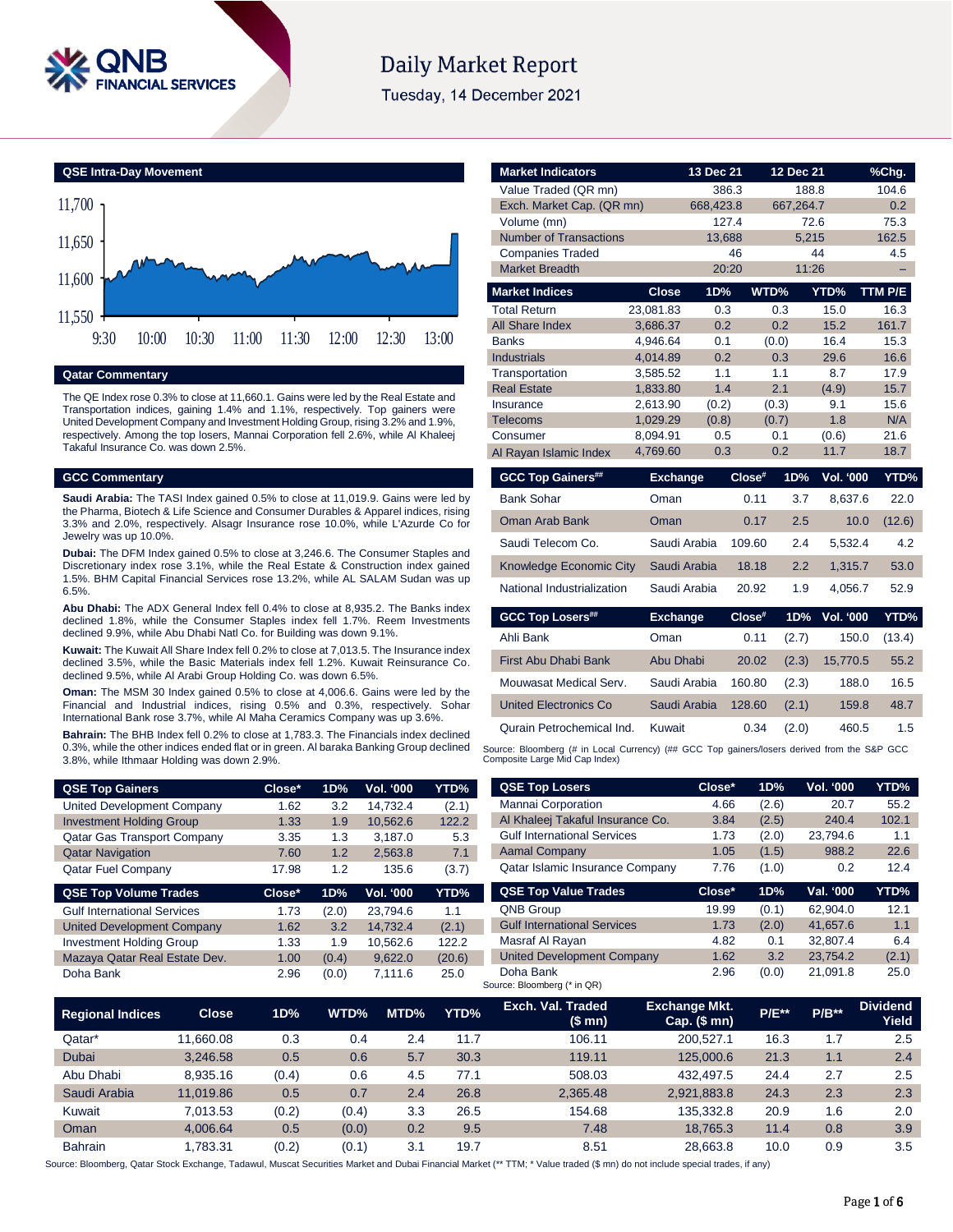

# **Daily Market Report**

Tuesday, 14 December 2021

**QSE Intra-Day Movement**



**Qatar Commentary**

The QE Index rose 0.3% to close at 11,660.1. Gains were led by the Real Estate and Transportation indices, gaining 1.4% and 1.1%, respectively. Top gainers were United Development Company and Investment Holding Group, rising 3.2% and 1.9%, respectively. Among the top losers, Mannai Corporation fell 2.6%, while Al Khaleej Takaful Insurance Co. was down 2.5%.

# **GCC Commentary**

**Saudi Arabia:** The TASI Index gained 0.5% to close at 11,019.9. Gains were led by the Pharma, Biotech & Life Science and Consumer Durables & Apparel indices, rising 3.3% and 2.0%, respectively. Alsagr Insurance rose 10.0%, while L'Azurde Co for Jewelry was up 10.0%.

**Dubai:** The DFM Index gained 0.5% to close at 3,246.6. The Consumer Staples and Discretionary index rose 3.1%, while the Real Estate & Construction index gained 1.5%. BHM Capital Financial Services rose 13.2%, while AL SALAM Sudan was up 6.5%.

**Abu Dhabi:** The ADX General Index fell 0.4% to close at 8,935.2. The Banks index declined 1.8%, while the Consumer Staples index fell 1.7%. Reem Investments declined 9.9%, while Abu Dhabi Natl Co. for Building was down 9.1%.

**Kuwait:** The Kuwait All Share Index fell 0.2% to close at 7,013.5. The Insurance index declined 3.5%, while the Basic Materials index fell 1.2%. Kuwait Reinsurance Co. declined 9.5%, while Al Arabi Group Holding Co. was down 6.5%.

**Oman:** The MSM 30 Index gained 0.5% to close at 4,006.6. Gains were led by the Financial and Industrial indices, rising 0.5% and 0.3%, respectively. Sohar International Bank rose 3.7%, while Al Maha Ceramics Company was up 3.6%.

**Bahrain:** The BHB Index fell 0.2% to close at 1,783.3. The Financials index declined 0.3%, while the other indices ended flat or in green. Al baraka Banking Group declined 3.8%, while Ithmaar Holding was down 2.9%.

| <b>QSE Top Gainers</b>             | Close* | 1D%   | Vol. '000 | YTD%   |
|------------------------------------|--------|-------|-----------|--------|
| United Development Company         | 1.62   | 3.2   | 14.732.4  | (2.1)  |
| <b>Investment Holding Group</b>    | 1.33   | 1.9   | 10,562.6  | 122.2  |
| Qatar Gas Transport Company        | 3.35   | 1.3   | 3,187.0   | 5.3    |
| <b>Qatar Navigation</b>            | 7.60   | 1.2   | 2,563.8   | 7.1    |
| <b>Qatar Fuel Company</b>          | 17.98  | 1.2   | 135.6     | (3.7)  |
|                                    |        |       |           |        |
| <b>QSE Top Volume Trades</b>       | Close* | 1D%   | Vol. '000 | YTD%   |
| <b>Gulf International Services</b> | 1.73   | (2.0) | 23.794.6  | 1.1    |
| <b>United Development Company</b>  | 1.62   | 3.2   | 14,732.4  | (2.1)  |
| <b>Investment Holding Group</b>    | 1.33   | 1.9   | 10,562.6  | 122.2  |
| Mazaya Qatar Real Estate Dev.      | 1.00   | (0.4) | 9,622.0   | (20.6) |

| <b>Market Indicators</b>      |                 | 13 Dec 21 |        | 12 Dec 21 |           | <u>%Chg.</u> |  |
|-------------------------------|-----------------|-----------|--------|-----------|-----------|--------------|--|
| Value Traded (QR mn)          |                 | 386.3     |        | 188.8     |           | 104.6        |  |
| Exch. Market Cap. (QR mn)     |                 | 668,423.8 |        | 667,264.7 |           | 0.2          |  |
| Volume (mn)                   |                 | 127.4     |        |           | 72.6      | 75.3         |  |
| <b>Number of Transactions</b> |                 | 13,688    |        | 5,215     |           | 162.5        |  |
| <b>Companies Traded</b>       |                 | 46        |        |           | 44        | 4.5          |  |
| <b>Market Breadth</b>         |                 | 20:20     |        | 11:26     |           |              |  |
| <b>Market Indices</b>         | <b>Close</b>    | 1D%       | WTD%   |           | YTD%      | TTM P/E      |  |
| <b>Total Return</b>           | 23,081.83       | 0.3       |        | 0.3       | 15.0      | 16.3         |  |
| <b>All Share Index</b>        | 3,686.37        | 0.2       |        | 0.2       | 15.2      | 161.7        |  |
| <b>Banks</b>                  | 4,946.64        | 0.1       |        | (0.0)     | 16.4      | 15.3         |  |
| <b>Industrials</b>            | 4,014.89        | 0.2       |        | 0.3       | 29.6      | 16.6         |  |
| Transportation                | 3,585.52        | 1.1       |        | 1.1       | 8.7       | 17.9         |  |
| <b>Real Estate</b>            | 1,833.80        | 1.4       |        | 2.1       | (4.9)     | 15.7         |  |
| Insurance                     | 2,613.90        | (0.2)     |        | (0.3)     | 9.1       | 15.6         |  |
| <b>Telecoms</b>               | 1,029.29        | (0.8)     |        | (0.7)     | 1.8       | N/A          |  |
| Consumer                      | 8,094.91        | 0.5       |        | 0.1       | (0.6)     | 21.6         |  |
| Al Rayan Islamic Index        | 4,769.60        | 0.3       |        | 0.2       | 11.7      | 18.7         |  |
| <b>GCC Top Gainers##</b>      | <b>Exchange</b> |           | Close# | 1D%       | Vol. '000 | YTD%         |  |
| <b>Bank Sohar</b>             | Oman            |           | 0.11   | 3.7       | 8,637.6   | 22.0         |  |
| <b>Oman Arab Bank</b>         | Oman            |           | 0.17   | 2.5       | 10.0      | (12.6)       |  |
| Saudi Telecom Co.             | Saudi Arabia    |           | 109.60 | 2.4       | 5,532.4   | 4.2          |  |
| Knowledge Economic City       | Saudi Arabia    |           | 18.18  | 2.2       | 1,315.7   | 53.0         |  |
| National Industrialization    | Saudi Arabia    |           | 20.92  | 1.9       | 4,056.7   | 52.9         |  |
| <b>GCC Top Losers##</b>       | <b>Exchange</b> |           | Close# | 1D%       | Vol. '000 | YTD%         |  |
| Ahli Bank                     | Oman            |           | 0.11   | (2.7)     | 150.0     | (13.4)       |  |
| <b>First Abu Dhabi Bank</b>   | Abu Dhabi       |           | 20.02  | (2.3)     | 15,770.5  | 55.2         |  |
| Mouwasat Medical Serv.        | Saudi Arabia    |           | 160.80 | (2.3)     | 188.0     | 16.5         |  |
| <b>United Electronics Co</b>  | Saudi Arabia    |           | 128.60 | (2.1)     | 159.8     | 48.7         |  |

Source: Bloomberg (# in Local Currency) (## GCC Top gainers/losers derived from the S&P GCC<br>Composite Large Mid Cap Index)

Qurain Petrochemical Ind. Kuwait 0.34 (2.0) 460.5 1.5

| <b>QSE Top Losers</b>              | Close* | 1D%   | <b>Vol. '000</b> | YTD%  |
|------------------------------------|--------|-------|------------------|-------|
| <b>Mannai Corporation</b>          | 4.66   | (2.6) | 20.7             | 55.2  |
| Al Khaleej Takaful Insurance Co.   | 3.84   | (2.5) | 240.4            | 102.1 |
| <b>Gulf International Services</b> | 1.73   | (2.0) | 23,794.6         | 1.1   |
| <b>Aamal Company</b>               | 1.05   | (1.5) | 988.2            | 22.6  |
| Qatar Islamic Insurance Company    | 7.76   | (1.0) | 0.2              | 12.4  |
|                                    |        |       |                  |       |
| <b>QSE Top Value Trades</b>        | Close* | 1D%   | Val. '000        | YTD%  |
| <b>QNB Group</b>                   | 19.99  | (0.1) | 62.904.0         | 12.1  |
| <b>Gulf International Services</b> | 1.73   | (2.0) | 41.657.6         | 1.1   |
| Masraf Al Rayan                    | 4.82   | 0.1   | 32,807.4         | 6.4   |
| <b>United Development Company</b>  | 1.62   | 3.2   | 23.754.2         | (2.1) |

| <b>Regional Indices</b> | <b>Close</b> | 1D%   | WTD%  | MTD% | YTD% | Exch. Val. Traded<br>(\$mn) | <b>Exchange Mkt.</b><br>Cap. $($mn)$ | <b>P/E**</b> | $P/B**$ | <b>Dividend</b><br>Yield |
|-------------------------|--------------|-------|-------|------|------|-----------------------------|--------------------------------------|--------------|---------|--------------------------|
| Qatar*                  | 11.660.08    | 0.3   | 0.4   | 2.4  | 11.7 | 106.11                      | 200.527.1                            | 16.3         | 1.7     | 2.5                      |
| <b>Dubai</b>            | 3.246.58     | 0.5   | 0.6   | 5.7  | 30.3 | 119.11                      | 125,000.6                            | 21.3         | 1.1     | 2.4                      |
| Abu Dhabi               | 8.935.16     | (0.4) | 0.6   | 4.5  | 77.1 | 508.03                      | 432.497.5                            | 24.4         | 2.7     | 2.5                      |
| Saudi Arabia            | 11.019.86    | 0.5   | 0.7   | 2.4  | 26.8 | 2.365.48                    | 2.921.883.8                          | 24.3         | 2.3     | 2.3                      |
| Kuwait                  | 7.013.53     | (0.2) | (0.4) | 3.3  | 26.5 | 154.68                      | 135.332.8                            | 20.9         | 1.6     | 2.0                      |
| Oman                    | 4.006.64     | 0.5   | (0.0) | 0.2  | 9.5  | 7.48                        | 18.765.3                             | 11.4         | 0.8     | 3.9                      |
| <b>Bahrain</b>          | .783.31      | (0.2) | (0.1) | 3.1  | 19.7 | 8.51                        | 28.663.8                             | 10.0         | 0.9     | 3.5                      |

Source: Bloomberg, Qatar Stock Exchange, Tadawul, Muscat Securities Market and Dubai Financial Market (\*\* TTM; \* Value traded (\$ mn) do not include special trades, if any)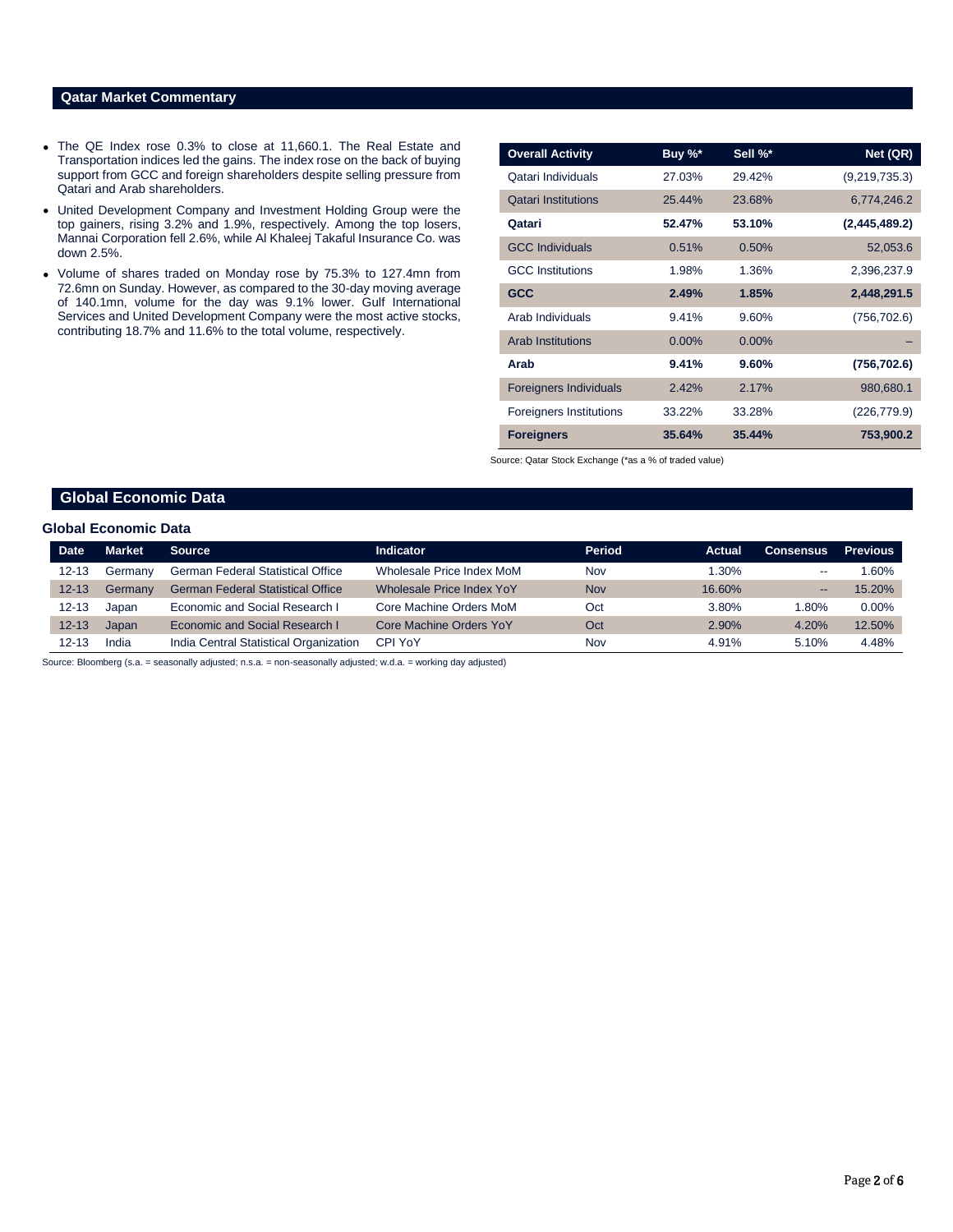# **Qatar Market Commentary**

- The QE Index rose 0.3% to close at 11,660.1. The Real Estate and Transportation indices led the gains. The index rose on the back of buying support from GCC and foreign shareholders despite selling pressure from Qatari and Arab shareholders.
- United Development Company and Investment Holding Group were the top gainers, rising 3.2% and 1.9%, respectively. Among the top losers, Mannai Corporation fell 2.6%, while Al Khaleej Takaful Insurance Co. was down 2.5%.
- Volume of shares traded on Monday rose by 75.3% to 127.4mn from 72.6mn on Sunday. However, as compared to the 30-day moving average of 140.1mn, volume for the day was 9.1% lower. Gulf International Services and United Development Company were the most active stocks, contributing 18.7% and 11.6% to the total volume, respectively.

| <b>Overall Activity</b>        | Buy %*   | Sell %*  | Net (QR)      |
|--------------------------------|----------|----------|---------------|
| Qatari Individuals             | 27.03%   | 29.42%   | (9,219,735.3) |
| <b>Qatari Institutions</b>     | 25.44%   | 23.68%   | 6,774,246.2   |
| Qatari                         | 52.47%   | 53.10%   | (2,445,489.2) |
| <b>GCC Individuals</b>         | 0.51%    | 0.50%    | 52,053.6      |
| <b>GCC</b> Institutions        | 1.98%    | 1.36%    | 2,396,237.9   |
| <b>GCC</b>                     | 2.49%    | 1.85%    | 2,448,291.5   |
| Arab Individuals               | 9.41%    | 9.60%    | (756, 702.6)  |
| <b>Arab Institutions</b>       | $0.00\%$ | $0.00\%$ |               |
| Arab                           | 9.41%    | 9.60%    | (756, 702.6)  |
| <b>Foreigners Individuals</b>  | 2.42%    | 2.17%    | 980,680.1     |
| <b>Foreigners Institutions</b> | 33.22%   | 33.28%   | (226, 779.9)  |
| <b>Foreigners</b>              | 35.64%   | 35.44%   | 753,900.2     |

Source: Qatar Stock Exchange (\*as a % of traded value)

# **Global Economic Data**

### **Global Economic Data**

| <b>Date</b> | <b>Market</b> | <b>Source</b>                            | <b>Indicator</b>          | <b>Period</b> | Actual   | <b>Consensus</b> | <b>Previous</b> |
|-------------|---------------|------------------------------------------|---------------------------|---------------|----------|------------------|-----------------|
| 12-13       | Germany       | <b>German Federal Statistical Office</b> | Wholesale Price Index MoM | Nov           | $1.30\%$ | $- -$            | 1.60%           |
| $12 - 13$   | Germany       | <b>German Federal Statistical Office</b> | Wholesale Price Index YoY | <b>Nov</b>    | 16.60%   | $-$              | 15.20%          |
| 12-13       | Japan         | Economic and Social Research I           | Core Machine Orders MoM   | Oct           | 3.80%    | .80%             | $0.00\%$        |
| $12 - 13$   | Japan         | Economic and Social Research I           | Core Machine Orders YoY   | Oct           | 2.90%    | 4.20%            | 12.50%          |
| $'2-13$     | India         | India Central Statistical Organization   | CPI YoY                   | Nov           | 4.91%    | 5.10%            | 4.48%           |

Source: Bloomberg (s.a. = seasonally adjusted; n.s.a. = non-seasonally adjusted; w.d.a. = working day adjusted)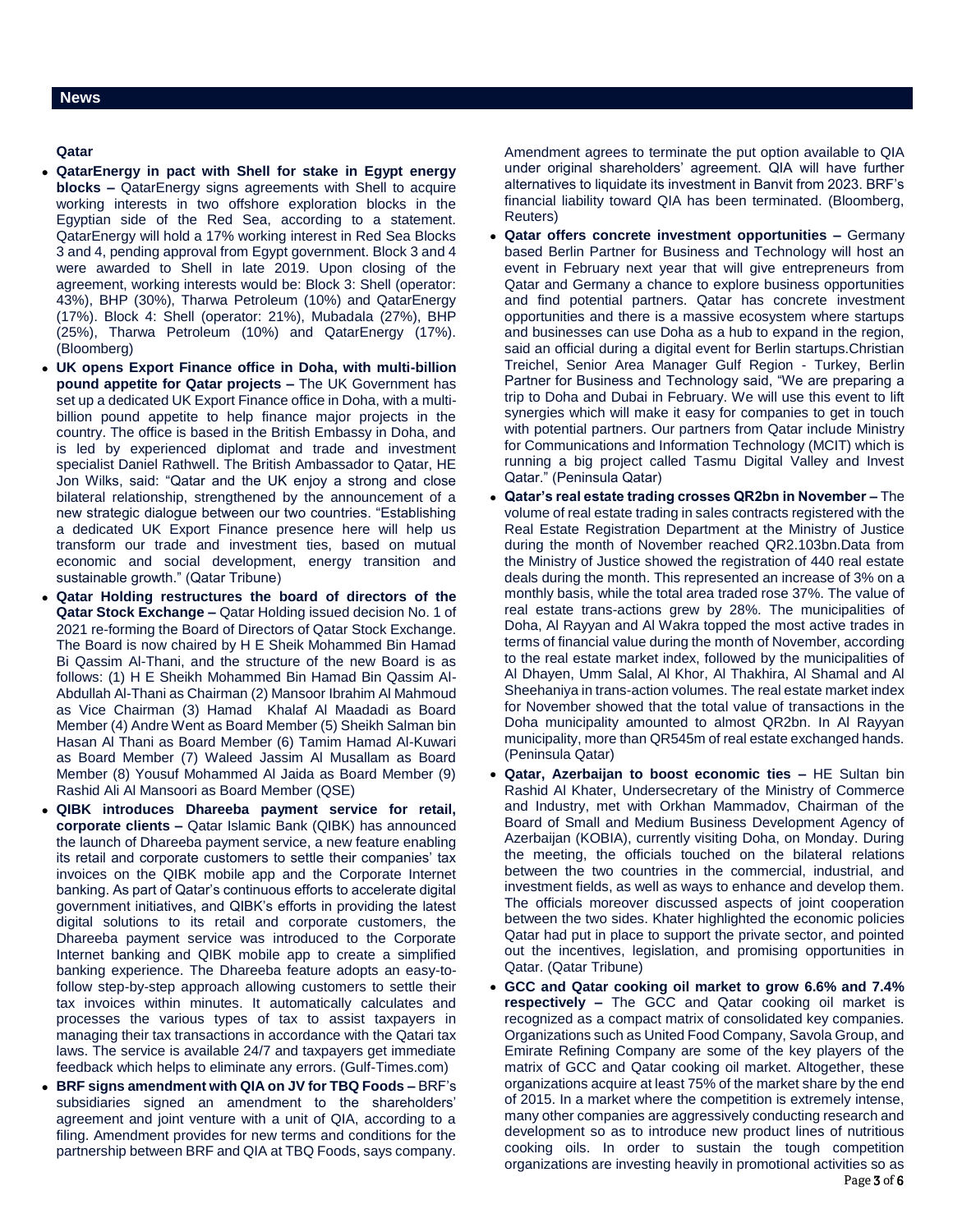# **Qatar**

- **QatarEnergy in pact with Shell for stake in Egypt energy blocks –** QatarEnergy signs agreements with Shell to acquire working interests in two offshore exploration blocks in the Egyptian side of the Red Sea, according to a statement. QatarEnergy will hold a 17% working interest in Red Sea Blocks 3 and 4, pending approval from Egypt government. Block 3 and 4 were awarded to Shell in late 2019. Upon closing of the agreement, working interests would be: Block 3: Shell (operator: 43%), BHP (30%), Tharwa Petroleum (10%) and QatarEnergy (17%). Block 4: Shell (operator: 21%), Mubadala (27%), BHP (25%), Tharwa Petroleum (10%) and QatarEnergy (17%). (Bloomberg)
- **UK opens Export Finance office in Doha, with multi-billion pound appetite for Qatar projects –** The UK Government has set up a dedicated UK Export Finance office in Doha, with a multibillion pound appetite to help finance major projects in the country. The office is based in the British Embassy in Doha, and is led by experienced diplomat and trade and investment specialist Daniel Rathwell. The British Ambassador to Qatar, HE Jon Wilks, said: "Qatar and the UK enjoy a strong and close bilateral relationship, strengthened by the announcement of a new strategic dialogue between our two countries. "Establishing a dedicated UK Export Finance presence here will help us transform our trade and investment ties, based on mutual economic and social development, energy transition and sustainable growth." (Qatar Tribune)
- **Qatar Holding restructures the board of directors of the Qatar Stock Exchange –** Qatar Holding issued decision No. 1 of 2021 re-forming the Board of Directors of Qatar Stock Exchange. The Board is now chaired by H E Sheik Mohammed Bin Hamad Bi Qassim Al-Thani, and the structure of the new Board is as follows: (1) H E Sheikh Mohammed Bin Hamad Bin Qassim Al-Abdullah Al-Thani as Chairman (2) Mansoor Ibrahim Al Mahmoud as Vice Chairman (3) Hamad Khalaf Al Maadadi as Board Member (4) Andre Went as Board Member (5) Sheikh Salman bin Hasan Al Thani as Board Member (6) Tamim Hamad Al-Kuwari as Board Member (7) Waleed Jassim Al Musallam as Board Member (8) Yousuf Mohammed Al Jaida as Board Member (9) Rashid Ali Al Mansoori as Board Member (QSE)
- **QIBK introduces Dhareeba payment service for retail, corporate clients –** Qatar Islamic Bank (QIBK) has announced the launch of Dhareeba payment service, a new feature enabling its retail and corporate customers to settle their companies' tax invoices on the QIBK mobile app and the Corporate Internet banking. As part of Qatar's continuous efforts to accelerate digital government initiatives, and QIBK's efforts in providing the latest digital solutions to its retail and corporate customers, the Dhareeba payment service was introduced to the Corporate Internet banking and QIBK mobile app to create a simplified banking experience. The Dhareeba feature adopts an easy-tofollow step-by-step approach allowing customers to settle their tax invoices within minutes. It automatically calculates and processes the various types of tax to assist taxpayers in managing their tax transactions in accordance with the Qatari tax laws. The service is available 24/7 and taxpayers get immediate feedback which helps to eliminate any errors. (Gulf-Times.com)
- **BRF signs amendment with QIA on JV for TBQ Foods –** BRF's subsidiaries signed an amendment to the shareholders' agreement and joint venture with a unit of QIA, according to a filing. Amendment provides for new terms and conditions for the partnership between BRF and QIA at TBQ Foods, says company.

Amendment agrees to terminate the put option available to QIA under original shareholders' agreement. QIA will have further alternatives to liquidate its investment in Banvit from 2023. BRF's financial liability toward QIA has been terminated. (Bloomberg, Reuters)

- **Qatar offers concrete investment opportunities –** Germany based Berlin Partner for Business and Technology will host an event in February next year that will give entrepreneurs from Qatar and Germany a chance to explore business opportunities and find potential partners. Qatar has concrete investment opportunities and there is a massive ecosystem where startups and businesses can use Doha as a hub to expand in the region, said an official during a digital event for Berlin startups.Christian Treichel, Senior Area Manager Gulf Region - Turkey, Berlin Partner for Business and Technology said, "We are preparing a trip to Doha and Dubai in February. We will use this event to lift synergies which will make it easy for companies to get in touch with potential partners. Our partners from Qatar include Ministry for Communications and Information Technology (MCIT) which is running a big project called Tasmu Digital Valley and Invest Qatar." (Peninsula Qatar)
- **Qatar's real estate trading crosses QR2bn in November –** The volume of real estate trading in sales contracts registered with the Real Estate Registration Department at the Ministry of Justice during the month of November reached QR2.103bn.Data from the Ministry of Justice showed the registration of 440 real estate deals during the month. This represented an increase of 3% on a monthly basis, while the total area traded rose 37%. The value of real estate trans-actions grew by 28%. The municipalities of Doha, Al Rayyan and Al Wakra topped the most active trades in terms of financial value during the month of November, according to the real estate market index, followed by the municipalities of Al Dhayen, Umm Salal, Al Khor, Al Thakhira, Al Shamal and Al Sheehaniya in trans-action volumes. The real estate market index for November showed that the total value of transactions in the Doha municipality amounted to almost QR2bn. In Al Rayyan municipality, more than QR545m of real estate exchanged hands. (Peninsula Qatar)
- **Qatar, Azerbaijan to boost economic ties –** HE Sultan bin Rashid Al Khater, Undersecretary of the Ministry of Commerce and Industry, met with Orkhan Mammadov, Chairman of the Board of Small and Medium Business Development Agency of Azerbaijan (KOBIA), currently visiting Doha, on Monday. During the meeting, the officials touched on the bilateral relations between the two countries in the commercial, industrial, and investment fields, as well as ways to enhance and develop them. The officials moreover discussed aspects of joint cooperation between the two sides. Khater highlighted the economic policies Qatar had put in place to support the private sector, and pointed out the incentives, legislation, and promising opportunities in Qatar. (Qatar Tribune)
- **GCC and Qatar cooking oil market to grow 6.6% and 7.4% respectively –** The GCC and Qatar cooking oil market is recognized as a compact matrix of consolidated key companies. Organizations such as United Food Company, Savola Group, and Emirate Refining Company are some of the key players of the matrix of GCC and Qatar cooking oil market. Altogether, these organizations acquire at least 75% of the market share by the end of 2015. In a market where the competition is extremely intense, many other companies are aggressively conducting research and development so as to introduce new product lines of nutritious cooking oils. In order to sustain the tough competition organizations are investing heavily in promotional activities so as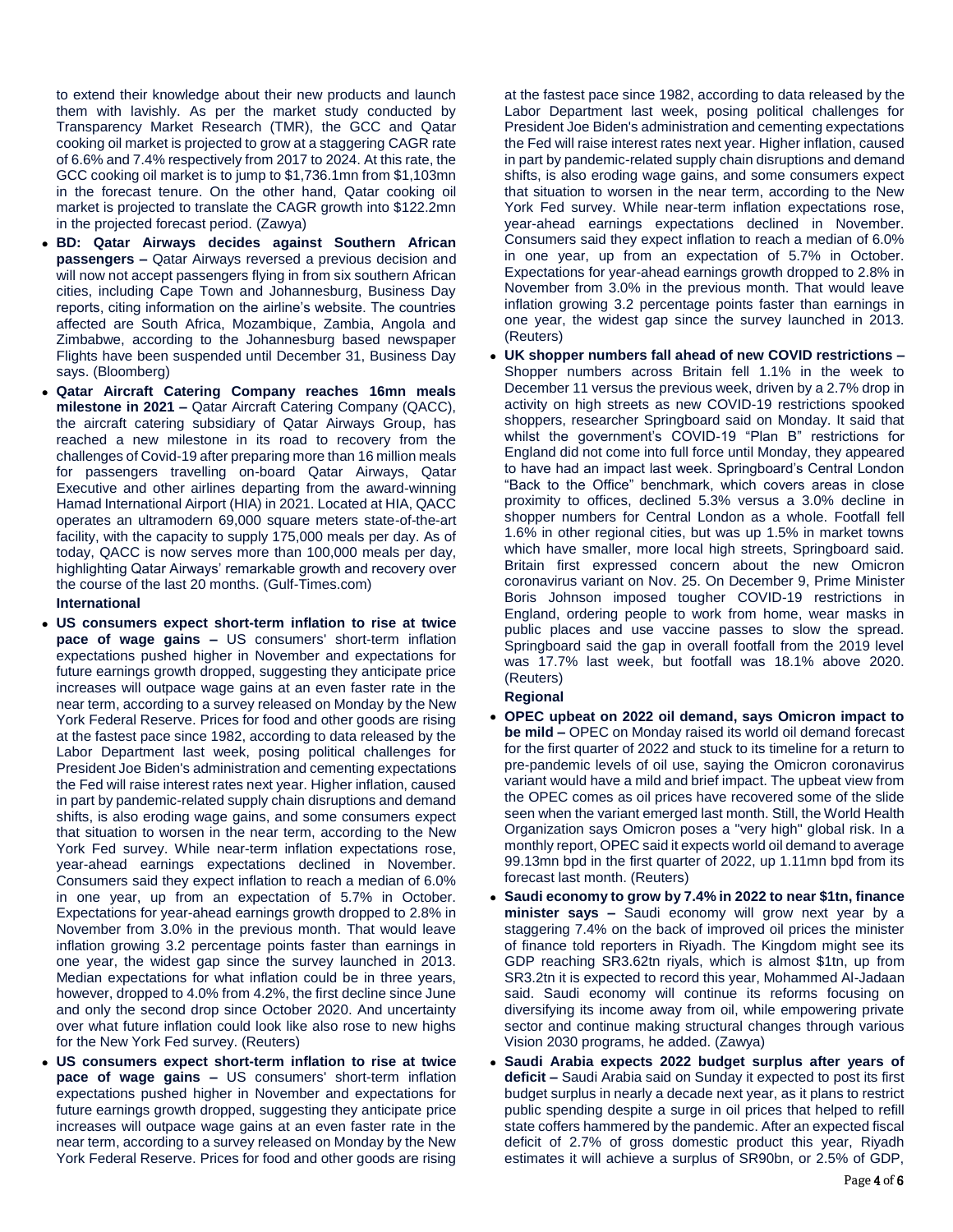to extend their knowledge about their new products and launch them with lavishly. As per the market study conducted by Transparency Market Research (TMR), the GCC and Qatar cooking oil market is projected to grow at a staggering CAGR rate of 6.6% and 7.4% respectively from 2017 to 2024. At this rate, the GCC cooking oil market is to jump to \$1,736.1mn from \$1,103mn in the forecast tenure. On the other hand, Qatar cooking oil market is projected to translate the CAGR growth into \$122.2mn in the projected forecast period. (Zawya)

- **BD: Qatar Airways decides against Southern African passengers –** Qatar Airways reversed a previous decision and will now not accept passengers flying in from six southern African cities, including Cape Town and Johannesburg, Business Day reports, citing information on the airline's website. The countries affected are South Africa, Mozambique, Zambia, Angola and Zimbabwe, according to the Johannesburg based newspaper Flights have been suspended until December 31, Business Day says. (Bloomberg)
- **Qatar Aircraft Catering Company reaches 16mn meals milestone in 2021 –** Qatar Aircraft Catering Company (QACC), the aircraft catering subsidiary of Qatar Airways Group, has reached a new milestone in its road to recovery from the challenges of Covid-19 after preparing more than 16 million meals for passengers travelling on-board Qatar Airways, Qatar Executive and other airlines departing from the award-winning Hamad International Airport (HIA) in 2021. Located at HIA, QACC operates an ultramodern 69,000 square meters state-of-the-art facility, with the capacity to supply 175,000 meals per day. As of today, QACC is now serves more than 100,000 meals per day, highlighting Qatar Airways' remarkable growth and recovery over the course of the last 20 months. (Gulf-Times.com)

### **International**

- **US consumers expect short-term inflation to rise at twice pace of wage gains –** US consumers' short-term inflation expectations pushed higher in November and expectations for future earnings growth dropped, suggesting they anticipate price increases will outpace wage gains at an even faster rate in the near term, according to a survey released on Monday by the New York Federal Reserve. Prices for food and other goods are rising at the fastest pace since 1982, according to data released by the Labor Department last week, posing political challenges for President Joe Biden's administration and cementing expectations the Fed will raise interest rates next year. Higher inflation, caused in part by pandemic-related supply chain disruptions and demand shifts, is also eroding wage gains, and some consumers expect that situation to worsen in the near term, according to the New York Fed survey. While near-term inflation expectations rose, year-ahead earnings expectations declined in November. Consumers said they expect inflation to reach a median of 6.0% in one year, up from an expectation of 5.7% in October. Expectations for year-ahead earnings growth dropped to 2.8% in November from 3.0% in the previous month. That would leave inflation growing 3.2 percentage points faster than earnings in one year, the widest gap since the survey launched in 2013. Median expectations for what inflation could be in three years, however, dropped to 4.0% from 4.2%, the first decline since June and only the second drop since October 2020. And uncertainty over what future inflation could look like also rose to new highs for the New York Fed survey. (Reuters)
- **US consumers expect short-term inflation to rise at twice pace of wage gains –** US consumers' short-term inflation expectations pushed higher in November and expectations for future earnings growth dropped, suggesting they anticipate price increases will outpace wage gains at an even faster rate in the near term, according to a survey released on Monday by the New York Federal Reserve. Prices for food and other goods are rising

at the fastest pace since 1982, according to data released by the Labor Department last week, posing political challenges for President Joe Biden's administration and cementing expectations the Fed will raise interest rates next year. Higher inflation, caused in part by pandemic-related supply chain disruptions and demand shifts, is also eroding wage gains, and some consumers expect that situation to worsen in the near term, according to the New York Fed survey. While near-term inflation expectations rose, year-ahead earnings expectations declined in November. Consumers said they expect inflation to reach a median of 6.0% in one year, up from an expectation of 5.7% in October. Expectations for year-ahead earnings growth dropped to 2.8% in November from 3.0% in the previous month. That would leave inflation growing 3.2 percentage points faster than earnings in one year, the widest gap since the survey launched in 2013. (Reuters)

 **UK shopper numbers fall ahead of new COVID restrictions –** Shopper numbers across Britain fell 1.1% in the week to December 11 versus the previous week, driven by a 2.7% drop in activity on high streets as new COVID-19 restrictions spooked shoppers, researcher Springboard said on Monday. It said that whilst the government's COVID-19 "Plan B" restrictions for England did not come into full force until Monday, they appeared to have had an impact last week. Springboard's Central London "Back to the Office" benchmark, which covers areas in close proximity to offices, declined 5.3% versus a 3.0% decline in shopper numbers for Central London as a whole. Footfall fell 1.6% in other regional cities, but was up 1.5% in market towns which have smaller, more local high streets, Springboard said. Britain first expressed concern about the new Omicron coronavirus variant on Nov. 25. On December 9, Prime Minister Boris Johnson imposed tougher COVID-19 restrictions in England, ordering people to work from home, wear masks in public places and use vaccine passes to slow the spread. Springboard said the gap in overall footfall from the 2019 level was 17.7% last week, but footfall was 18.1% above 2020. (Reuters)

**Regional**

- **OPEC upbeat on 2022 oil demand, says Omicron impact to be mild –** OPEC on Monday raised its world oil demand forecast for the first quarter of 2022 and stuck to its timeline for a return to pre-pandemic levels of oil use, saying the Omicron coronavirus variant would have a mild and brief impact. The upbeat view from the OPEC comes as oil prices have recovered some of the slide seen when the variant emerged last month. Still, the World Health Organization says Omicron poses a "very high" global risk. In a monthly report, OPEC said it expects world oil demand to average 99.13mn bpd in the first quarter of 2022, up 1.11mn bpd from its forecast last month. (Reuters)
- **Saudi economy to grow by 7.4% in 2022 to near \$1tn, finance minister says –** Saudi economy will grow next year by a staggering 7.4% on the back of improved oil prices the minister of finance told reporters in Riyadh. The Kingdom might see its GDP reaching SR3.62tn riyals, which is almost \$1tn, up from SR3.2tn it is expected to record this year, Mohammed Al-Jadaan said. Saudi economy will continue its reforms focusing on diversifying its income away from oil, while empowering private sector and continue making structural changes through various Vision 2030 programs, he added. (Zawya)
- **Saudi Arabia expects 2022 budget surplus after years of deficit –** Saudi Arabia said on Sunday it expected to post its first budget surplus in nearly a decade next year, as it plans to restrict public spending despite a surge in oil prices that helped to refill state coffers hammered by the pandemic. After an expected fiscal deficit of 2.7% of gross domestic product this year, Riyadh estimates it will achieve a surplus of SR90bn, or 2.5% of GDP,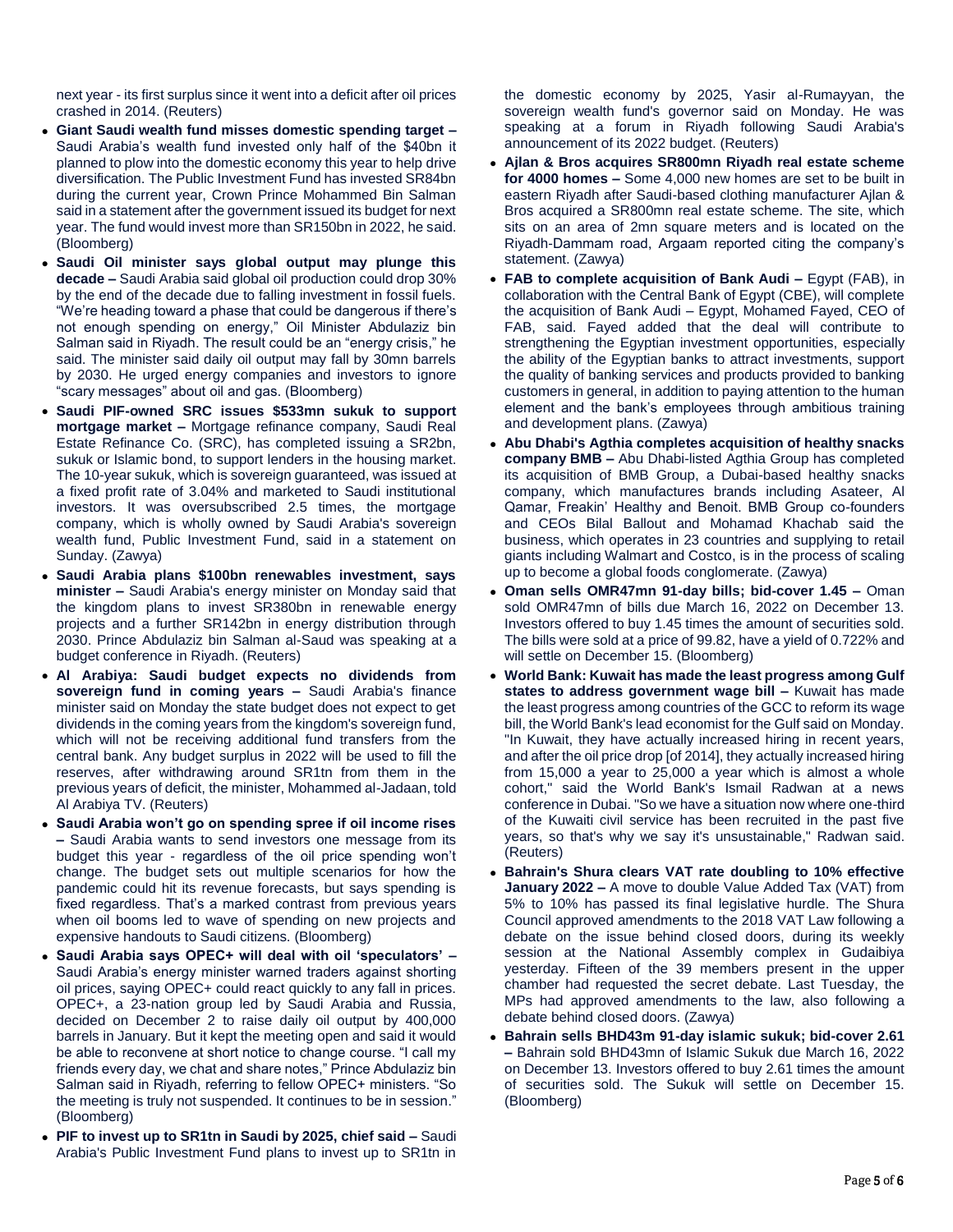next year - its first surplus since it went into a deficit after oil prices crashed in 2014. (Reuters)

- **Giant Saudi wealth fund misses domestic spending target –** Saudi Arabia's wealth fund invested only half of the \$40bn it planned to plow into the domestic economy this year to help drive diversification. The Public Investment Fund has invested SR84bn during the current year, Crown Prince Mohammed Bin Salman said in a statement after the government issued its budget for next year. The fund would invest more than SR150bn in 2022, he said. (Bloomberg)
- **Saudi Oil minister says global output may plunge this decade –** Saudi Arabia said global oil production could drop 30% by the end of the decade due to falling investment in fossil fuels. "We're heading toward a phase that could be dangerous if there's not enough spending on energy," Oil Minister Abdulaziz bin Salman said in Riyadh. The result could be an "energy crisis," he said. The minister said daily oil output may fall by 30mn barrels by 2030. He urged energy companies and investors to ignore "scary messages" about oil and gas. (Bloomberg)
- **Saudi PIF-owned SRC issues \$533mn sukuk to support mortgage market –** Mortgage refinance company, Saudi Real Estate Refinance Co. (SRC), has completed issuing a SR2bn, sukuk or Islamic bond, to support lenders in the housing market. The 10-year sukuk, which is sovereign guaranteed, was issued at a fixed profit rate of 3.04% and marketed to Saudi institutional investors. It was oversubscribed 2.5 times, the mortgage company, which is wholly owned by Saudi Arabia's sovereign wealth fund, Public Investment Fund, said in a statement on Sunday. (Zawya)
- **Saudi Arabia plans \$100bn renewables investment, says minister –** Saudi Arabia's energy minister on Monday said that the kingdom plans to invest SR380bn in renewable energy projects and a further SR142bn in energy distribution through 2030. Prince Abdulaziz bin Salman al-Saud was speaking at a budget conference in Riyadh. (Reuters)
- **Al Arabiya: Saudi budget expects no dividends from sovereign fund in coming years –** Saudi Arabia's finance minister said on Monday the state budget does not expect to get dividends in the coming years from the kingdom's sovereign fund, which will not be receiving additional fund transfers from the central bank. Any budget surplus in 2022 will be used to fill the reserves, after withdrawing around SR1tn from them in the previous years of deficit, the minister, Mohammed al-Jadaan, told Al Arabiya TV. (Reuters)
- **Saudi Arabia won't go on spending spree if oil income rises –** Saudi Arabia wants to send investors one message from its budget this year - regardless of the oil price spending won't change. The budget sets out multiple scenarios for how the pandemic could hit its revenue forecasts, but says spending is fixed regardless. That's a marked contrast from previous years when oil booms led to wave of spending on new projects and expensive handouts to Saudi citizens. (Bloomberg)
- **Saudi Arabia says OPEC+ will deal with oil 'speculators' –** Saudi Arabia's energy minister warned traders against shorting oil prices, saying OPEC+ could react quickly to any fall in prices. OPEC+, a 23-nation group led by Saudi Arabia and Russia, decided on December 2 to raise daily oil output by 400,000 barrels in January. But it kept the meeting open and said it would be able to reconvene at short notice to change course. "I call my friends every day, we chat and share notes," Prince Abdulaziz bin Salman said in Riyadh, referring to fellow OPEC+ ministers. "So the meeting is truly not suspended. It continues to be in session." (Bloomberg)
- **PIF to invest up to SR1tn in Saudi by 2025, chief said –** Saudi Arabia's Public Investment Fund plans to invest up to SR1tn in

the domestic economy by 2025, Yasir al-Rumayyan, the sovereign wealth fund's governor said on Monday. He was speaking at a forum in Riyadh following Saudi Arabia's announcement of its 2022 budget. (Reuters)

- **Ajlan & Bros acquires SR800mn Riyadh real estate scheme for 4000 homes –** Some 4,000 new homes are set to be built in eastern Riyadh after Saudi-based clothing manufacturer Ajlan & Bros acquired a SR800mn real estate scheme. The site, which sits on an area of 2mn square meters and is located on the Riyadh-Dammam road, Argaam reported citing the company's statement. (Zawya)
- **FAB to complete acquisition of Bank Audi –** Egypt (FAB), in collaboration with the Central Bank of Egypt (CBE), will complete the acquisition of Bank Audi – Egypt, Mohamed Fayed, CEO of FAB, said. Fayed added that the deal will contribute to strengthening the Egyptian investment opportunities, especially the ability of the Egyptian banks to attract investments, support the quality of banking services and products provided to banking customers in general, in addition to paying attention to the human element and the bank's employees through ambitious training and development plans. (Zawya)
- **Abu Dhabi's Agthia completes acquisition of healthy snacks company BMB –** Abu Dhabi-listed Agthia Group has completed its acquisition of BMB Group, a Dubai-based healthy snacks company, which manufactures brands including Asateer, Al Qamar, Freakin' Healthy and Benoit. BMB Group co-founders and CEOs Bilal Ballout and Mohamad Khachab said the business, which operates in 23 countries and supplying to retail giants including Walmart and Costco, is in the process of scaling up to become a global foods conglomerate. (Zawya)
- **Oman sells OMR47mn 91-day bills; bid-cover 1.45 –** Oman sold OMR47mn of bills due March 16, 2022 on December 13. Investors offered to buy 1.45 times the amount of securities sold. The bills were sold at a price of 99.82, have a yield of 0.722% and will settle on December 15. (Bloomberg)
- **World Bank: Kuwait has made the least progress among Gulf states to address government wage bill –** Kuwait has made the least progress among countries of the GCC to reform its wage bill, the World Bank's lead economist for the Gulf said on Monday. "In Kuwait, they have actually increased hiring in recent years, and after the oil price drop [of 2014], they actually increased hiring from 15,000 a year to 25,000 a year which is almost a whole cohort," said the World Bank's Ismail Radwan at a news conference in Dubai. "So we have a situation now where one-third of the Kuwaiti civil service has been recruited in the past five years, so that's why we say it's unsustainable," Radwan said. (Reuters)
- **Bahrain's Shura clears VAT rate doubling to 10% effective January 2022 –** A move to double Value Added Tax (VAT) from 5% to 10% has passed its final legislative hurdle. The Shura Council approved amendments to the 2018 VAT Law following a debate on the issue behind closed doors, during its weekly session at the National Assembly complex in Gudaibiya yesterday. Fifteen of the 39 members present in the upper chamber had requested the secret debate. Last Tuesday, the MPs had approved amendments to the law, also following a debate behind closed doors. (Zawya)
- **Bahrain sells BHD43m 91-day islamic sukuk; bid-cover 2.61 –** Bahrain sold BHD43mn of Islamic Sukuk due March 16, 2022 on December 13. Investors offered to buy 2.61 times the amount of securities sold. The Sukuk will settle on December 15. (Bloomberg)